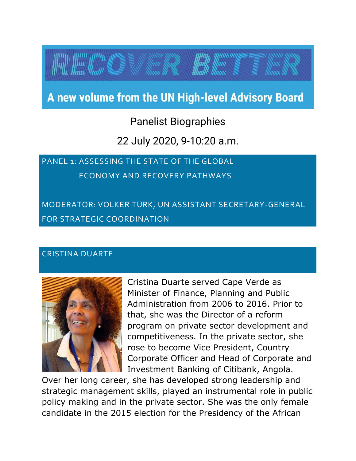# A new volume from the UN High-level Advisory Board

# Panelist Biographies

## 22 July 2020, 9-10:20 a.m.

# PANEL 1: ASSESSING THE STATE OF THE GLOBAL ECONOMY AND RECOVERY PATHWAYS

MODERATOR: VOLKER TÜRK, UN ASSISTANT SECRETARY-GENERAL FOR STRATEGIC COORDINATION

#### CRISTINA DUARTE



Cristina Duarte served Cape Verde as Minister of Finance, Planning and Public Administration from 2006 to 2016. Prior to that, she was the Director of a reform program on private sector development and competitiveness. In the private sector, she rose to become Vice President, Country Corporate Officer and Head of Corporate and Investment Banking of Citibank, Angola.

Over her long career, she has developed strong leadership and strategic management skills, played an instrumental role in public policy making and in the private sector. She was the only female candidate in the 2015 election for the Presidency of the African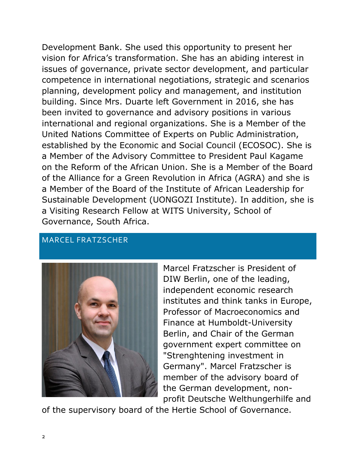Development Bank. She used this opportunity to present her vision for Africa's transformation. She has an abiding interest in issues of governance, private sector development, and particular competence in international negotiations, strategic and scenarios planning, development policy and management, and institution building. Since Mrs. Duarte left Government in 2016, she has been invited to governance and advisory positions in various international and regional organizations. She is a Member of the United Nations Committee of Experts on Public Administration, established by the Economic and Social Council (ECOSOC). She is a Member of the Advisory Committee to President Paul Kagame on the Reform of the African Union. She is a Member of the Board of the Alliance for a Green Revolution in Africa (AGRA) and she is a Member of the Board of the Institute of African Leadership for Sustainable Development (UONGOZI Institute). In addition, she is a Visiting Research Fellow at WITS University, School of Governance, South Africa.

#### MARCEL FRATZSCHER



Marcel Fratzscher is President of DIW Berlin, one of the leading, independent economic research institutes and think tanks in Europe, Professor of Macroeconomics and Finance at Humboldt-University Berlin, and Chair of the German government expert committee on "Strenghtening investment in Germany". Marcel Fratzscher is member of the advisory board of the German development, nonprofit Deutsche Welthungerhilfe and

of the supervisory board of the Hertie School of Governance.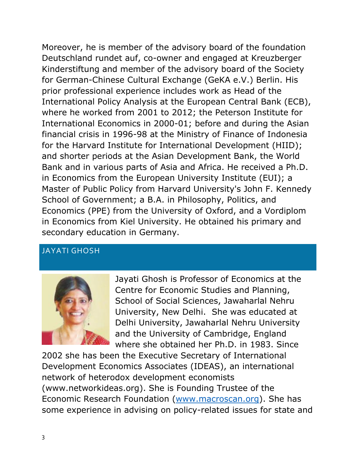Moreover, he is member of the advisory board of the foundation Deutschland rundet auf, co-owner and engaged at Kreuzberger Kinderstiftung and member of the advisory board of the Society for German-Chinese Cultural Exchange (GeKA e.V.) Berlin. His prior professional experience includes work as Head of the International Policy Analysis at the European Central Bank (ECB), where he worked from 2001 to 2012; the Peterson Institute for International Economics in 2000-01; before and during the Asian financial crisis in 1996-98 at the Ministry of Finance of Indonesia for the Harvard Institute for International Development (HIID); and shorter periods at the Asian Development Bank, the World Bank and in various parts of Asia and Africa. He received a Ph.D. in Economics from the European University Institute (EUI); a Master of Public Policy from Harvard University's John F. Kennedy School of Government; a B.A. in Philosophy, Politics, and Economics (PPE) from the University of Oxford, and a Vordiplom in Economics from Kiel University. He obtained his primary and secondary education in Germany.

### JAYATI GHOSH



Jayati Ghosh is Professor of Economics at the Centre for Economic Studies and Planning, School of Social Sciences, Jawaharlal Nehru University, New Delhi. She was educated at Delhi University, Jawaharlal Nehru University and the University of Cambridge, England where she obtained her Ph.D. in 1983. Since

2002 she has been the Executive Secretary of International Development Economics Associates (IDEAS), an international network of heterodox development economists (www.networkideas.org). She is Founding Trustee of the Economic Research Foundation [\(www.macroscan.org\)](http://www.macroscan.org/). She has some experience in advising on policy-related issues for state and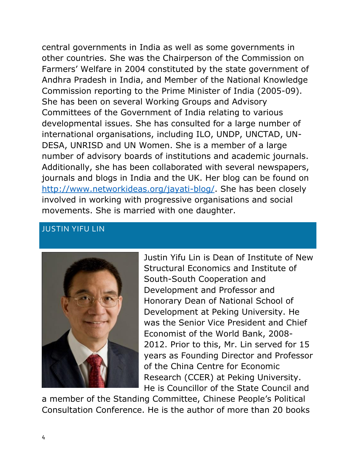central governments in India as well as some governments in other countries. She was the Chairperson of the Commission on Farmers' Welfare in 2004 constituted by the state government of Andhra Pradesh in India, and Member of the National Knowledge Commission reporting to the Prime Minister of India (2005-09). She has been on several Working Groups and Advisory Committees of the Government of India relating to various developmental issues. She has consulted for a large number of international organisations, including ILO, UNDP, UNCTAD, UN-DESA, UNRISD and UN Women. She is a member of a large number of advisory boards of institutions and academic journals. Additionally, she has been collaborated with several newspapers, journals and blogs in India and the UK. Her blog can be found on [http://www.networkideas.org/jayati-blog/.](http://www.networkideas.org/jayati-blog/) She has been closely involved in working with progressive organisations and social movements. She is married with one daughter.

#### JUSTIN YIFU LIN



Justin Yifu Lin is Dean of Institute of New Structural Economics and Institute of South-South Cooperation and Development and Professor and Honorary Dean of National School of Development at Peking University. He was the Senior Vice President and Chief Economist of the World Bank, 2008- 2012. Prior to this, Mr. Lin served for 15 years as Founding Director and Professor of the China Centre for Economic Research (CCER) at Peking University. He is Councillor of the State Council and

a member of the Standing Committee, Chinese People's Political Consultation Conference. He is the author of more than 20 books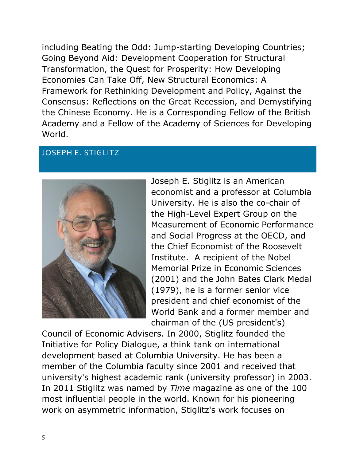including Beating the Odd: Jump-starting Developing Countries; Going Beyond Aid: Development Cooperation for Structural Transformation, the Quest for Prosperity: How Developing Economies Can Take Off, New Structural Economics: A Framework for Rethinking Development and Policy, Against the Consensus: Reflections on the Great Recession, and Demystifying the Chinese Economy. He is a Corresponding Fellow of the British Academy and a Fellow of the Academy of Sciences for Developing World.

#### JOSEPH E. STIGLITZ



Joseph E. Stiglitz is an American economist and a professor at Columbia University. He is also the co-chair of the High-Level Expert Group on the Measurement of Economic Performance and Social Progress at the OECD, and the Chief Economist of the Roosevelt Institute. A recipient of the Nobel Memorial Prize in Economic Sciences (2001) and the John Bates Clark Medal (1979), he is a former senior vice president and chief economist of the World Bank and a former member and chairman of the (US president's)

Council of Economic Advisers. In 2000, Stiglitz founded the Initiative for Policy Dialogue, a think tank on international development based at Columbia University. He has been a member of the Columbia faculty since 2001 and received that university's highest academic rank (university professor) in 2003. In 2011 Stiglitz was named by *Time* magazine as one of the 100 most influential people in the world. Known for his pioneering work on asymmetric information, Stiglitz's work focuses on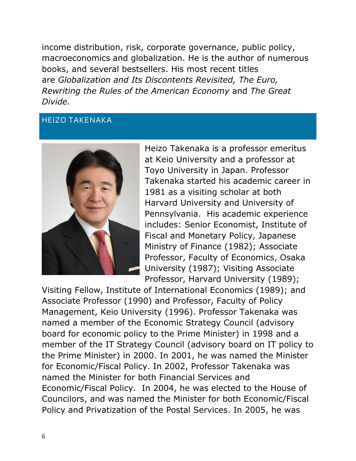income distribution, risk, corporate governance, public policy, macroeconomics and globalization. He is the author of numerous books, and several bestsellers. His most recent titles are *Globalization and Its Discontents Revisited, The Euro, Rewriting the Rules of the American Economy* and *The Great Divide.*

#### HEIZO TAKENAKA



Heizo Takenaka is a professor emeritus at Keio University and a professor at Toyo University in Japan. Professor Takenaka started his academic career in 1981 as a visiting scholar at both Harvard University and University of Pennsylvania. His academic experience includes: Senior Economist, Institute of Fiscal and Monetary Policy, Japanese Ministry of Finance (1982); Associate Professor, Faculty of Economics, Osaka University (1987); Visiting Associate Professor, Harvard University (1989);

Visiting Fellow, Institute of International Economics (1989); and Associate Professor (1990) and Professor, Faculty of Policy Management, Keio University (1996). Professor Takenaka was named a member of the Economic Strategy Council (advisory board for economic policy to the Prime Minister) in 1998 and a member of the IT Strategy Council (advisory board on IT policy to the Prime Minister) in 2000. In 2001, he was named the Minister for Economic/Fiscal Policy. In 2002, Professor Takenaka was named the Minister for both Financial Services and Economic/Fiscal Policy. In 2004, he was elected to the House of Councilors, and was named the Minister for both Economic/Fiscal Policy and Privatization of the Postal Services. In 2005, he was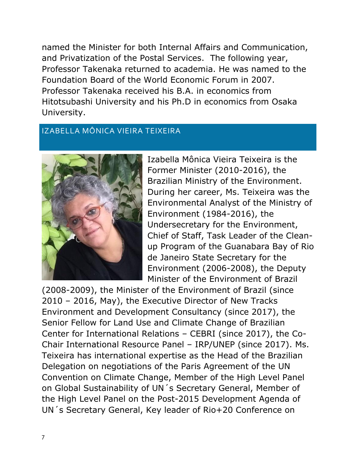named the Minister for both Internal Affairs and Communication, and Privatization of the Postal Services. The following year, Professor Takenaka returned to academia. He was named to the Foundation Board of the World Economic Forum in 2007. Professor Takenaka received his B.A. in economics from Hitotsubashi University and his Ph.D in economics from Osaka University.

#### IZABELLA MÔNICA VIEIRA TEIXEIRA



Izabella Mônica Vieira Teixeira is the Former Minister (2010-2016), the Brazilian Ministry of the Environment. During her career, Ms. Teixeira was the Environmental Analyst of the Ministry of Environment (1984-2016), the Undersecretary for the Environment, Chief of Staff, Task Leader of the Cleanup Program of the Guanabara Bay of Rio de Janeiro State Secretary for the Environment (2006-2008), the Deputy Minister of the Environment of Brazil

(2008-2009), the Minister of the Environment of Brazil (since 2010 – 2016, May), the Executive Director of New Tracks Environment and Development Consultancy (since 2017), the Senior Fellow for Land Use and Climate Change of Brazilian Center for International Relations – CEBRI (since 2017), the Co-Chair International Resource Panel – IRP/UNEP (since 2017). Ms. Teixeira has international expertise as the Head of the Brazilian Delegation on negotiations of the Paris Agreement of the UN Convention on Climate Change, Member of the High Level Panel on Global Sustainability of UN´s Secretary General, Member of the High Level Panel on the Post-2015 Development Agenda of UN´s Secretary General, Key leader of Rio+20 Conference on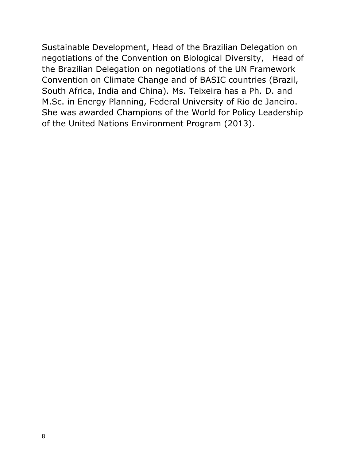Sustainable Development, Head of the Brazilian Delegation on negotiations of the Convention on Biological Diversity, Head of the Brazilian Delegation on negotiations of the UN Framework Convention on Climate Change and of BASIC countries (Brazil, South Africa, India and China). Ms. Teixeira has a Ph. D. and M.Sc. in Energy Planning, Federal University of Rio de Janeiro. She was awarded Champions of the World for Policy Leadership of the United Nations Environment Program (2013).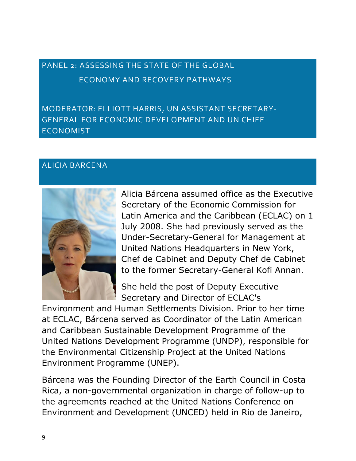# PANEL 2: ASSESSING THE STATE OF THE GLOBAL ECONOMY AND RECOVERY PATHWAYS

MODERATOR: ELLIOTT HARRIS, UN ASSISTANT SECRETARY-GENERAL FOR ECONOMIC DEVELOPMENT AND UN CHIEF ECONOMIST

#### ALICIA BARCENA



Alicia Bárcena assumed office as the Executive Secretary of the Economic Commission for Latin America and the Caribbean (ECLAC) on 1 July 2008. She had previously served as the Under-Secretary-General for Management at United Nations Headquarters in New York, Chef de Cabinet and Deputy Chef de Cabinet to the former Secretary-General Kofi Annan.

She held the post of Deputy Executive Secretary and Director of ECLAC's

Environment and Human Settlements Division. Prior to her time at ECLAC, Bárcena served as Coordinator of the Latin American and Caribbean Sustainable Development Programme of the United Nations Development Programme (UNDP), responsible for the Environmental Citizenship Project at the United Nations Environment Programme (UNEP).

Bárcena was the Founding Director of the Earth Council in Costa Rica, a non-governmental organization in charge of follow-up to the agreements reached at the United Nations Conference on Environment and Development (UNCED) held in Rio de Janeiro,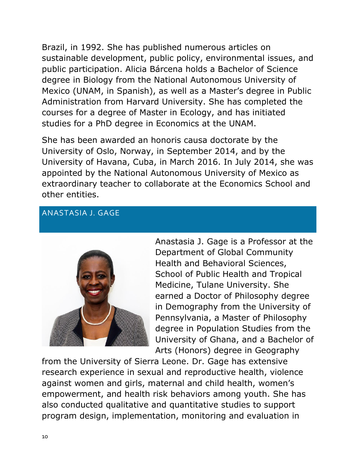Brazil, in 1992. She has published numerous articles on sustainable development, public policy, environmental issues, and public participation. Alicia Bárcena holds a Bachelor of Science degree in Biology from the National Autonomous University of Mexico (UNAM, in Spanish), as well as a Master's degree in Public Administration from Harvard University. She has completed the courses for a degree of Master in Ecology, and has initiated studies for a PhD degree in Economics at the UNAM.

She has been awarded an honoris causa doctorate by the University of Oslo, Norway, in September 2014, and by the University of Havana, Cuba, in March 2016. In July 2014, she was appointed by the National Autonomous University of Mexico as extraordinary teacher to collaborate at the Economics School and other entities.

### ANASTASIA J. GAGE



Anastasia J. Gage is a Professor at the Department of Global Community Health and Behavioral Sciences, School of Public Health and Tropical Medicine, Tulane University. She earned a Doctor of Philosophy degree in Demography from the University of Pennsylvania, a Master of Philosophy degree in Population Studies from the University of Ghana, and a Bachelor of Arts (Honors) degree in Geography

from the University of Sierra Leone. Dr. Gage has extensive research experience in sexual and reproductive health, violence against women and girls, maternal and child health, women's empowerment, and health risk behaviors among youth. She has also conducted qualitative and quantitative studies to support program design, implementation, monitoring and evaluation in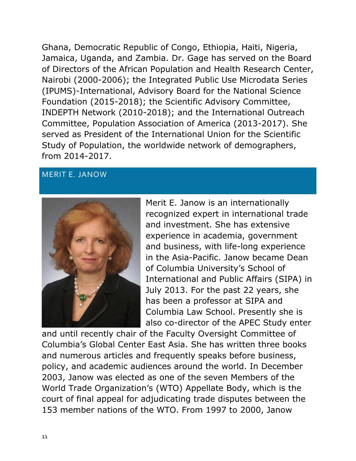Ghana, Democratic Republic of Congo, Ethiopia, Haiti, Nigeria, Jamaica, Uganda, and Zambia. Dr. Gage has served on the Board of Directors of the African Population and Health Research Center, Nairobi (2000-2006); the Integrated Public Use Microdata Series (IPUMS)-International, Advisory Board for the National Science Foundation (2015-2018); the Scientific Advisory Committee, INDEPTH Network (2010-2018); and the International Outreach Committee, Population Association of America (2013-2017). She served as President of the International Union for the Scientific Study of Population, the worldwide network of demographers, from 2014-2017.

#### MERIT E. JANOW



Merit E. Janow is an internationally recognized expert in international trade and investment. She has extensive experience in academia, government and business, with life-long experience in the Asia-Pacific. Janow became Dean of Columbia University's School of International and Public Affairs (SIPA) in July 2013. For the past 22 years, she has been a professor at SIPA and Columbia Law School. Presently she is also co-director of the APEC Study enter

and until recently chair of the Faculty Oversight Committee of Columbia's Global Center East Asia. She has written three books and numerous articles and frequently speaks before business, policy, and academic audiences around the world. In December 2003, Janow was elected as one of the seven Members of the World Trade Organization's (WTO) Appellate Body, which is the court of final appeal for adjudicating trade disputes between the 153 member nations of the WTO. From 1997 to 2000, Janow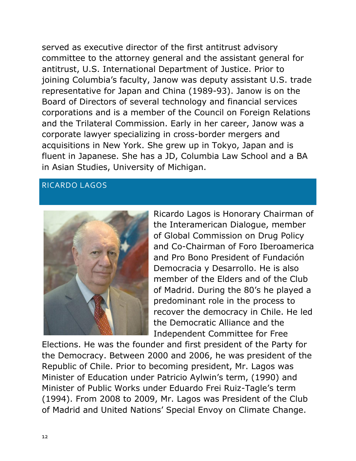served as executive director of the first antitrust advisory committee to the attorney general and the assistant general for antitrust, U.S. International Department of Justice. Prior to joining Columbia's faculty, Janow was deputy assistant U.S. trade representative for Japan and China (1989-93). Janow is on the Board of Directors of several technology and financial services corporations and is a member of the Council on Foreign Relations and the Trilateral Commission. Early in her career, Janow was a corporate lawyer specializing in cross-border mergers and acquisitions in New York. She grew up in Tokyo, Japan and is fluent in Japanese. She has a JD, Columbia Law School and a BA in Asian Studies, University of Michigan.

#### RICARDO LAGOS



Ricardo Lagos is Honorary Chairman of the Interamerican Dialogue, member of Global Commission on Drug Policy and Co-Chairman of Foro Iberoamerica and Pro Bono President of Fundación Democracia y Desarrollo. He is also member of the Elders and of the Club of Madrid. During the 80's he played a predominant role in the process to recover the democracy in Chile. He led the Democratic Alliance and the Independent Committee for Free

Elections. He was the founder and first president of the Party for the Democracy. Between 2000 and 2006, he was president of the Republic of Chile. Prior to becoming president, Mr. Lagos was Minister of Education under Patricio Aylwin's term, (1990) and Minister of Public Works under Eduardo Frei Ruiz-Tagle's term (1994). From 2008 to 2009, Mr. Lagos was President of the Club of Madrid and United Nations' Special Envoy on Climate Change.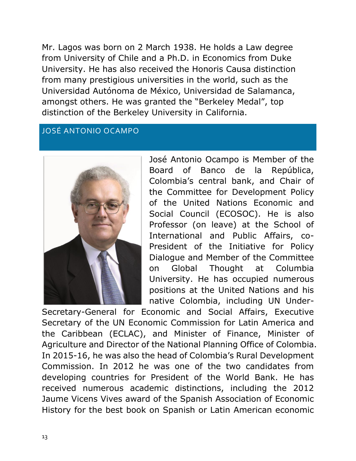Mr. Lagos was born on 2 March 1938. He holds a Law degree from University of Chile and a Ph.D. in Economics from Duke University. He has also received the Honoris Causa distinction from many prestigious universities in the world, such as the Universidad Autónoma de México, Universidad de Salamanca, amongst others. He was granted the "Berkeley Medal", top distinction of the Berkeley University in California.

### JOSÉ ANTONIO OCAMPO



José Antonio Ocampo is Member of the Board of Banco de la República, Colombia's central bank, and Chair of the Committee for Development Policy of the United Nations Economic and Social Council (ECOSOC). He is also Professor (on leave) at the School of International and Public Affairs, co-President of the Initiative for Policy Dialogue and Member of the Committee on Global Thought at Columbia University. He has occupied numerous positions at the United Nations and his native Colombia, including UN Under-

Secretary-General for Economic and Social Affairs, Executive Secretary of the UN Economic Commission for Latin America and the Caribbean (ECLAC), and Minister of Finance, Minister of Agriculture and Director of the National Planning Office of Colombia. In 2015-16, he was also the head of Colombia's Rural Development Commission. In 2012 he was one of the two candidates from developing countries for President of the World Bank. He has received numerous academic distinctions, including the 2012 Jaume Vicens Vives award of the Spanish Association of Economic History for the best book on Spanish or Latin American economic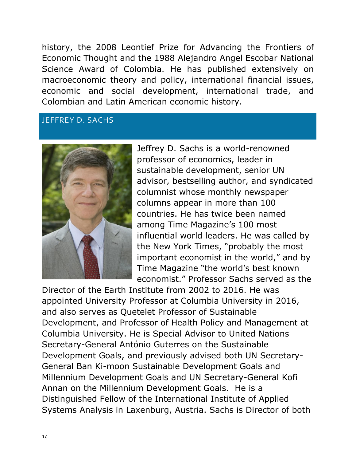history, the 2008 Leontief Prize for Advancing the Frontiers of Economic Thought and the 1988 Alejandro Angel Escobar National Science Award of Colombia. He has published extensively on macroeconomic theory and policy, international financial issues, economic and social development, international trade, and Colombian and Latin American economic history.

#### JEFFREY D. SACHS



Jeffrey D. Sachs is a world-renowned professor of economics, leader in sustainable development, senior UN advisor, bestselling author, and syndicated columnist whose monthly newspaper columns appear in more than 100 countries. He has twice been named among Time Magazine's 100 most influential world leaders. He was called by the New York Times, "probably the most important economist in the world," and by Time Magazine "the world's best known economist." Professor Sachs served as the

Director of the Earth Institute from 2002 to 2016. He was appointed University Professor at Columbia University in 2016, and also serves as Quetelet Professor of Sustainable Development, and Professor of Health Policy and Management at Columbia University. He is Special Advisor to United Nations Secretary-General António Guterres on the Sustainable Development Goals, and previously advised both UN Secretary-General Ban Ki-moon Sustainable Development Goals and Millennium Development Goals and UN Secretary-General Kofi Annan on the Millennium Development Goals. He is a Distinguished Fellow of the International Institute of Applied Systems Analysis in Laxenburg, Austria. Sachs is Director of both